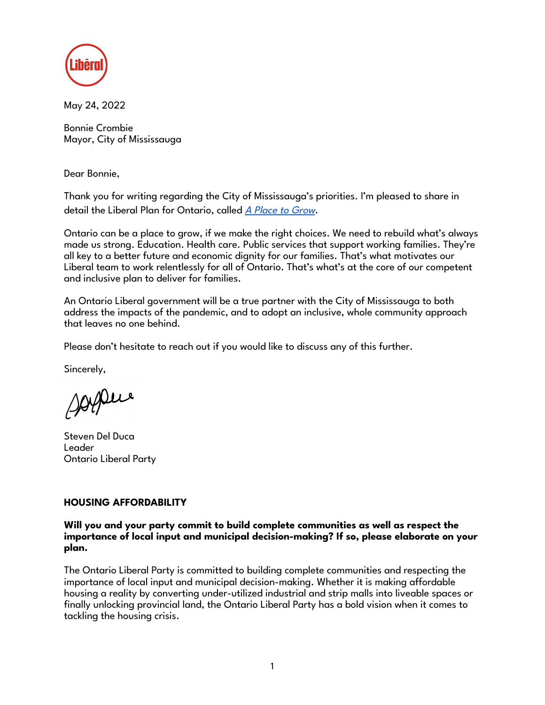

May 24, 2022

Bonnie Crombie Mayor, City of Mississauga

Dear Bonnie,

Thank you for writing regarding the City of Mississauga's priorities. I'm pleased to share in detail the Liberal Plan for Ontario, called A [Place](https://ontarioliberal.ca/platform/) to Grow.

Ontario can be a place to grow, if we make the right choices. We need to rebuild what's always made us strong. Education. Health care. Public services that support working families. They're all key to a better future and economic dignity for our families. That's what motivates our Liberal team to work relentlessly for all of Ontario. That's what's at the core of our competent and inclusive plan to deliver for families.

An Ontario Liberal government will be a true partner with the City of Mississauga to both address the impacts of the pandemic, and to adopt an inclusive, whole community approach that leaves no one behind.

Please don't hesitate to reach out if you would like to discuss any of this further.

Sincerely,

sophie

Steven Del Duca Leader Ontario Liberal Party

# **HOUSING AFFORDABILITY**

**Will you and your party commit to build complete communities as well as respect the importance of local input and municipal decision-making? If so, please elaborate on your plan.**

The Ontario Liberal Party is committed to building complete communities and respecting the importance of local input and municipal decision-making. Whether it is making affordable housing a reality by converting under-utilized industrial and strip malls into liveable spaces or finally unlocking provincial land, the Ontario Liberal Party has a bold vision when it comes to tackling the housing crisis.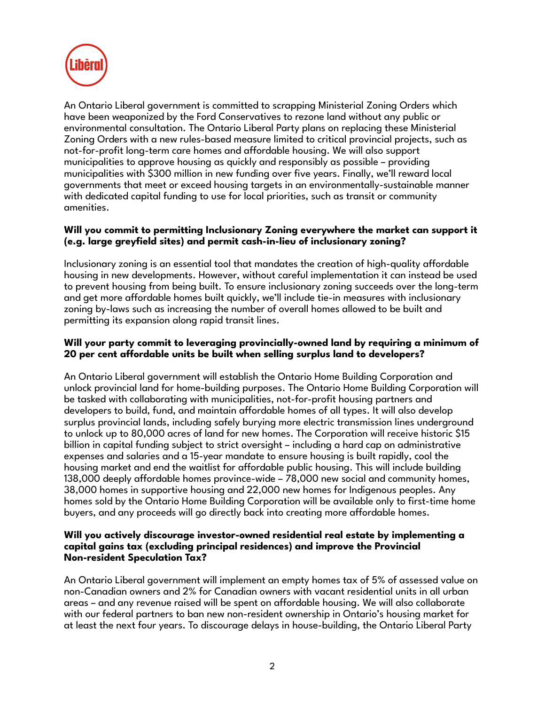

An Ontario Liberal government is committed to scrapping Ministerial Zoning Orders which have been weaponized by the Ford Conservatives to rezone land without any public or environmental consultation. The Ontario Liberal Party plans on replacing these Ministerial Zoning Orders with a new rules-based measure limited to critical provincial projects, such as not-for-profit long-term care homes and affordable housing. We will also support municipalities to approve housing as quickly and responsibly as possible – providing municipalities with \$300 million in new funding over five years. Finally, we'll reward local governments that meet or exceed housing targets in an environmentally-sustainable manner with dedicated capital funding to use for local priorities, such as transit or community amenities.

## **Will you commit to permitting Inclusionary Zoning everywhere the market can support it (e.g. large greyfield sites) and permit cash-in-lieu of inclusionary zoning?**

Inclusionary zoning is an essential tool that mandates the creation of high-quality affordable housing in new developments. However, without careful implementation it can instead be used to prevent housing from being built. To ensure inclusionary zoning succeeds over the long-term and get more affordable homes built quickly, we'll include tie-in measures with inclusionary zoning by-laws such as increasing the number of overall homes allowed to be built and permitting its expansion along rapid transit lines.

# **Will your party commit to leveraging provincially-owned land by requiring a minimum of 20 per cent affordable units be built when selling surplus land to developers?**

An Ontario Liberal government will establish the Ontario Home Building Corporation and unlock provincial land for home-building purposes. The Ontario Home Building Corporation will be tasked with collaborating with municipalities, not-for-profit housing partners and developers to build, fund, and maintain affordable homes of all types. It will also develop surplus provincial lands, including safely burying more electric transmission lines underground to unlock up to 80,000 acres of land for new homes. The Corporation will receive historic \$15 billion in capital funding subject to strict oversight – including a hard cap on administrative expenses and salaries and a 15-year mandate to ensure housing is built rapidly, cool the housing market and end the waitlist for affordable public housing. This will include building 138,000 deeply affordable homes province-wide – 78,000 new social and community homes, 38,000 homes in supportive housing and 22,000 new homes for Indigenous peoples. Any homes sold by the Ontario Home Building Corporation will be available only to first-time home buyers, and any proceeds will go directly back into creating more affordable homes.

## **Will you actively discourage investor-owned residential real estate by implementing a capital gains tax (excluding principal residences) and improve the Provincial Non-resident Speculation Tax?**

An Ontario Liberal government will implement an empty homes tax of 5% of assessed value on non-Canadian owners and 2% for Canadian owners with vacant residential units in all urban areas – and any revenue raised will be spent on affordable housing. We will also collaborate with our federal partners to ban new non-resident ownership in Ontario's housing market for at least the next four years. To discourage delays in house-building, the Ontario Liberal Party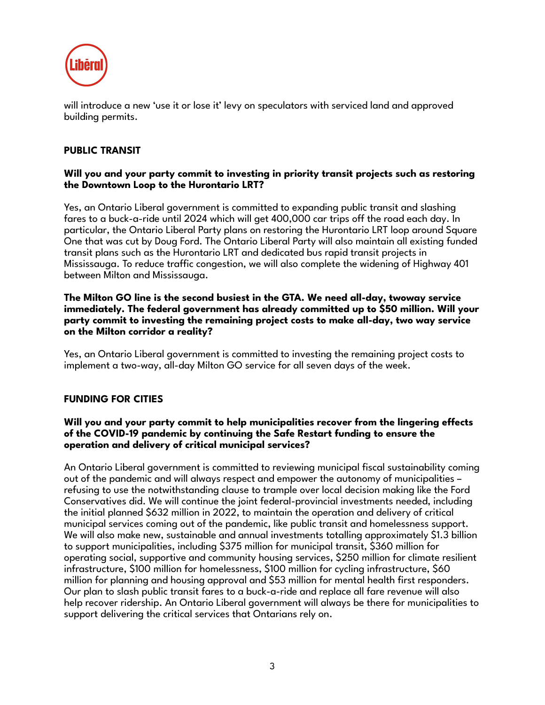

will introduce a new 'use it or lose it' levy on speculators with serviced land and approved building permits.

# **PUBLIC TRANSIT**

### **Will you and your party commit to investing in priority transit projects such as restoring the Downtown Loop to the Hurontario LRT?**

Yes, an Ontario Liberal government is committed to expanding public transit and slashing fares to a buck-a-ride until 2024 which will get 400,000 car trips off the road each day. In particular, the Ontario Liberal Party plans on restoring the Hurontario LRT loop around Square One that was cut by Doug Ford. The Ontario Liberal Party will also maintain all existing funded transit plans such as the Hurontario LRT and dedicated bus rapid transit projects in Mississauga. To reduce traffic congestion, we will also complete the widening of Highway 401 between Milton and Mississauga.

#### **The Milton GO line is the second busiest in the GTA. We need all-day, twoway service immediately. The federal government has already committed up to \$50 million. Will your party commit to investing the remaining project costs to make all-day, two way service on the Milton corridor a reality?**

Yes, an Ontario Liberal government is committed to investing the remaining project costs to implement a two-way, all-day Milton GO service for all seven days of the week.

# **FUNDING FOR CITIES**

## **Will you and your party commit to help municipalities recover from the lingering effects of the COVID-19 pandemic by continuing the Safe Restart funding to ensure the operation and delivery of critical municipal services?**

An Ontario Liberal government is committed to reviewing municipal fiscal sustainability coming out of the pandemic and will always respect and empower the autonomy of municipalities – refusing to use the notwithstanding clause to trample over local decision making like the Ford Conservatives did. We will continue the joint federal-provincial investments needed, including the initial planned \$632 million in 2022, to maintain the operation and delivery of critical municipal services coming out of the pandemic, like public transit and homelessness support. We will also make new, sustainable and annual investments totalling approximately \$1.3 billion to support municipalities, including \$375 million for municipal transit, \$360 million for operating social, supportive and community housing services, \$250 million for climate resilient infrastructure, \$100 million for homelessness, \$100 million for cycling infrastructure, \$60 million for planning and housing approval and \$53 million for mental health first responders. Our plan to slash public transit fares to a buck-a-ride and replace all fare revenue will also help recover ridership. An Ontario Liberal government will always be there for municipalities to support delivering the critical services that Ontarians rely on.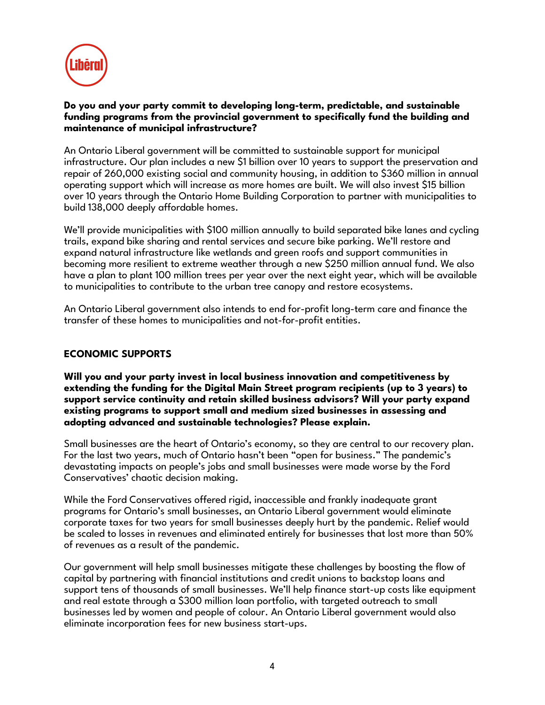

## **Do you and your party commit to developing long-term, predictable, and sustainable funding programs from the provincial government to specifically fund the building and maintenance of municipal infrastructure?**

An Ontario Liberal government will be committed to sustainable support for municipal infrastructure. Our plan includes a new \$1 billion over 10 years to support the preservation and repair of 260,000 existing social and community housing, in addition to \$360 million in annual operating support which will increase as more homes are built. We will also invest \$15 billion over 10 years through the Ontario Home Building Corporation to partner with municipalities to build 138,000 deeply affordable homes.

We'll provide municipalities with \$100 million annually to build separated bike lanes and cycling trails, expand bike sharing and rental services and secure bike parking. We'll restore and expand natural infrastructure like wetlands and green roofs and support communities in becoming more resilient to extreme weather through a new \$250 million annual fund. We also have a plan to plant 100 million trees per year over the next eight year, which will be available to municipalities to contribute to the urban tree canopy and restore ecosystems.

An Ontario Liberal government also intends to end for-profit long-term care and finance the transfer of these homes to municipalities and not-for-profit entities.

# **ECONOMIC SUPPORTS**

**Will you and your party invest in local business innovation and competitiveness by extending the funding for the Digital Main Street program recipients (up to 3 years) to support service continuity and retain skilled business advisors? Will your party expand existing programs to support small and medium sized businesses in assessing and adopting advanced and sustainable technologies? Please explain.**

Small businesses are the heart of Ontario's economy, so they are central to our recovery plan. For the last two years, much of Ontario hasn't been "open for business." The pandemic's devastating impacts on people's jobs and small businesses were made worse by the Ford Conservatives' chaotic decision making.

While the Ford Conservatives offered rigid, inaccessible and frankly inadequate grant programs for Ontario's small businesses, an Ontario Liberal government would eliminate corporate taxes for two years for small businesses deeply hurt by the pandemic. Relief would be scaled to losses in revenues and eliminated entirely for businesses that lost more than 50% of revenues as a result of the pandemic.

Our government will help small businesses mitigate these challenges by boosting the flow of capital by partnering with financial institutions and credit unions to backstop loans and support tens of thousands of small businesses. We'll help finance start-up costs like equipment and real estate through a \$300 million loan portfolio, with targeted outreach to small businesses led by women and people of colour. An Ontario Liberal government would also eliminate incorporation fees for new business start-ups.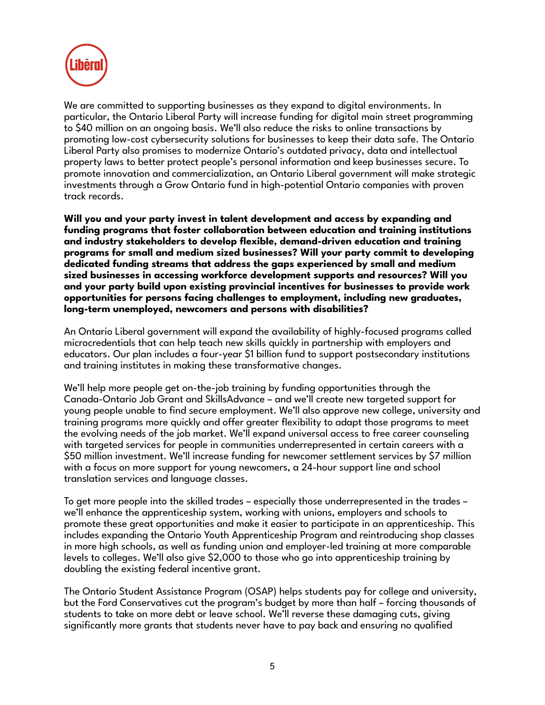

We are committed to supporting businesses as they expand to digital environments. In particular, the Ontario Liberal Party will increase funding for digital main street programming to \$40 million on an ongoing basis. We'll also reduce the risks to online transactions by promoting low-cost cybersecurity solutions for businesses to keep their data safe. The Ontario Liberal Party also promises to modernize Ontario's outdated privacy, data and intellectual property laws to better protect people's personal information and keep businesses secure. To promote innovation and commercialization, an Ontario Liberal government will make strategic investments through a Grow Ontario fund in high-potential Ontario companies with proven track records.

**Will you and your party invest in talent development and access by expanding and funding programs that foster collaboration between education and training institutions and industry stakeholders to develop flexible, demand-driven education and training programs for small and medium sized businesses? Will your party commit to developing dedicated funding streams that address the gaps experienced by small and medium sized businesses in accessing workforce development supports and resources? Will you and your party build upon existing provincial incentives for businesses to provide work opportunities for persons facing challenges to employment, including new graduates, long-term unemployed, newcomers and persons with disabilities?**

An Ontario Liberal government will expand the availability of highly-focused programs called microcredentials that can help teach new skills quickly in partnership with employers and educators. Our plan includes a four-year \$1 billion fund to support postsecondary institutions and training institutes in making these transformative changes.

We'll help more people get on-the-job training by funding opportunities through the Canada-Ontario Job Grant and SkillsAdvance – and we'll create new targeted support for young people unable to find secure employment. We'll also approve new college, university and training programs more quickly and offer greater flexibility to adapt those programs to meet the evolving needs of the job market. We'll expand universal access to free career counseling with targeted services for people in communities underrepresented in certain careers with a \$50 million investment. We'll increase funding for newcomer settlement services by \$7 million with a focus on more support for young newcomers, a 24-hour support line and school translation services and language classes.

To get more people into the skilled trades – especially those underrepresented in the trades – we'll enhance the apprenticeship system, working with unions, employers and schools to promote these great opportunities and make it easier to participate in an apprenticeship. This includes expanding the Ontario Youth Apprenticeship Program and reintroducing shop classes in more high schools, as well as funding union and employer-led training at more comparable levels to colleges. We'll also give \$2,000 to those who go into apprenticeship training by doubling the existing federal incentive grant.

The Ontario Student Assistance Program (OSAP) helps students pay for college and university, but the Ford Conservatives cut the program's budget by more than half – forcing thousands of students to take on more debt or leave school. We'll reverse these damaging cuts, giving significantly more grants that students never have to pay back and ensuring no qualified